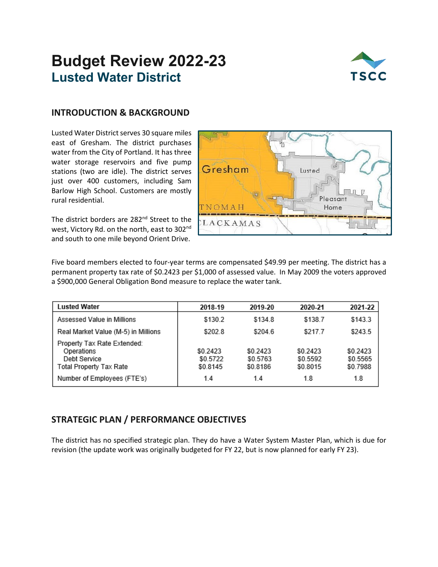## **Budget Review 2022-23 Lusted Water District**



## **INTRODUCTION & BACKGROUND**

Lusted Water District serves 30 square miles east of Gresham. The district purchases water from the City of Portland. It has three water storage reservoirs and five pump stations (two are idle). The district serves just over 400 customers, including Sam Barlow High School. Customers are mostly rural residential.

The district borders are 282<sup>nd</sup> Street to the west, Victory Rd. on the north, east to 302nd and south to one mile beyond Orient Drive.



Five board members elected to four-year terms are compensated \$49.99 per meeting. The district has a permanent property tax rate of \$0.2423 per \$1,000 of assessed value. In May 2009 the voters approved a \$900,000 General Obligation Bond measure to replace the water tank.

| <b>Lusted Water</b>                                                                  | 2018-19                          | 2019-20                          | 2020-21                          | 2021-22                          |
|--------------------------------------------------------------------------------------|----------------------------------|----------------------------------|----------------------------------|----------------------------------|
| Assessed Value in Millions                                                           | \$130.2                          | \$134.8                          | \$138.7                          | \$143.3                          |
| Real Market Value (M-5) in Millions                                                  | \$202.8                          | \$204.6                          | \$217.7                          | \$243.5                          |
| Property Tax Rate Extended:<br>Operations<br>Debt Service<br>Total Property Tax Rate | \$0.2423<br>\$0.5722<br>\$0.8145 | \$0.2423<br>\$0.5763<br>\$0.8186 | \$0.2423<br>\$0.5592<br>\$0.8015 | \$0.2423<br>\$0.5565<br>\$0.7988 |
| Number of Employees (FTE's)                                                          | 1.4                              | 1.4                              | 1.8                              | 1.8                              |

## **STRATEGIC PLAN / PERFORMANCE OBJECTIVES**

The district has no specified strategic plan. They do have a Water System Master Plan, which is due for revision (the update work was originally budgeted for FY 22, but is now planned for early FY 23).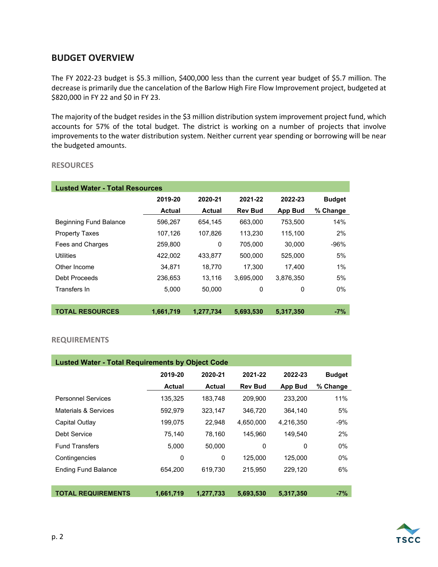## **BUDGET OVERVIEW**

The FY 2022-23 budget is \$5.3 million, \$400,000 less than the current year budget of \$5.7 million. The decrease is primarily due the cancelation of the Barlow High Fire Flow Improvement project, budgeted at \$820,000 in FY 22 and \$0 in FY 23.

The majority of the budget resides in the \$3 million distribution system improvement project fund, which accounts for 57% of the total budget. The district is working on a number of projects that involve improvements to the water distribution system. Neither current year spending or borrowing will be near the budgeted amounts.

#### **RESOURCES**

| <b>Lusted Water - Total Resources</b> |           |           |                |                |               |  |  |  |  |
|---------------------------------------|-----------|-----------|----------------|----------------|---------------|--|--|--|--|
|                                       | 2019-20   | 2020-21   | 2021-22        | 2022-23        | <b>Budget</b> |  |  |  |  |
|                                       | Actual    | Actual    | <b>Rev Bud</b> | <b>App Bud</b> | % Change      |  |  |  |  |
| <b>Beginning Fund Balance</b>         | 596,267   | 654,145   | 663,000        | 753,500        | 14%           |  |  |  |  |
| <b>Property Taxes</b>                 | 107,126   | 107,826   | 113,230        | 115,100        | 2%            |  |  |  |  |
| Fees and Charges                      | 259,800   | 0         | 705,000        | 30.000         | $-96%$        |  |  |  |  |
| Utilities                             | 422,002   | 433.877   | 500,000        | 525,000        | 5%            |  |  |  |  |
| Other Income                          | 34.871    | 18.770    | 17.300         | 17.400         | 1%            |  |  |  |  |
| Debt Proceeds                         | 236,653   | 13.116    | 3.695.000      | 3.876.350      | 5%            |  |  |  |  |
| Transfers In                          | 5,000     | 50,000    | 0              | $\Omega$       | $0\%$         |  |  |  |  |
|                                       |           |           |                |                |               |  |  |  |  |
| <b>TOTAL RESOURCES</b>                | 1,661,719 | 1,277,734 | 5,693,530      | 5,317,350      | $-7%$         |  |  |  |  |

#### **REQUIREMENTS**

| <b>Lusted Water - Total Requirements by Object Code</b> |           |           |                |                |               |  |  |  |  |
|---------------------------------------------------------|-----------|-----------|----------------|----------------|---------------|--|--|--|--|
|                                                         | 2019-20   | 2020-21   | 2021-22        | 2022-23        | <b>Budget</b> |  |  |  |  |
|                                                         | Actual    | Actual    | <b>Rev Bud</b> | <b>App Bud</b> | % Change      |  |  |  |  |
| <b>Personnel Services</b>                               | 135,325   | 183,748   | 209,900        | 233.200        | 11%           |  |  |  |  |
| Materials & Services                                    | 592,979   | 323,147   | 346,720        | 364.140        | 5%            |  |  |  |  |
| Capital Outlay                                          | 199,075   | 22,948    | 4,650,000      | 4,216,350      | $-9%$         |  |  |  |  |
| Debt Service                                            | 75,140    | 78,160    | 145,960        | 149.540        | 2%            |  |  |  |  |
| <b>Fund Transfers</b>                                   | 5,000     | 50,000    | 0              | 0              | $0\%$         |  |  |  |  |
| Contingencies                                           | 0         | 0         | 125,000        | 125.000        | $0\%$         |  |  |  |  |
| <b>Ending Fund Balance</b>                              | 654.200   | 619.730   | 215.950        | 229.120        | 6%            |  |  |  |  |
|                                                         |           |           |                |                |               |  |  |  |  |
| <b>TOTAL REQUIREMENTS</b>                               | 1,661,719 | 1,277,733 | 5,693,530      | 5,317,350      | $-7%$         |  |  |  |  |

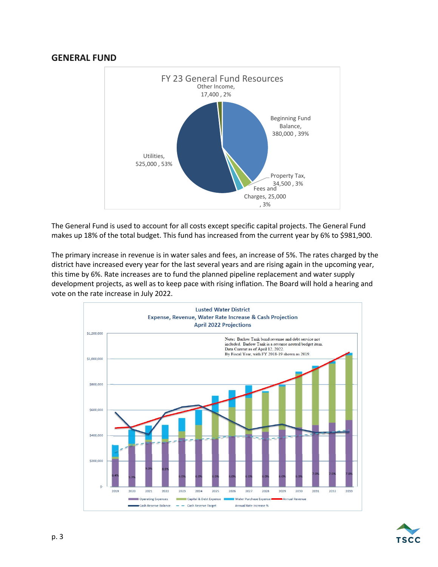## **GENERAL FUND**



The General Fund is used to account for all costs except specific capital projects. The General Fund makes up 18% of the total budget. This fund has increased from the current year by 6% to \$981,900.

The primary increase in revenue is in water sales and fees, an increase of 5%. The rates charged by the district have increased every year for the last several years and are rising again in the upcoming year, this time by 6%. Rate increases are to fund the planned pipeline replacement and water supply development projects, as well as to keep pace with rising inflation. The Board will hold a hearing and vote on the rate increase in July 2022.



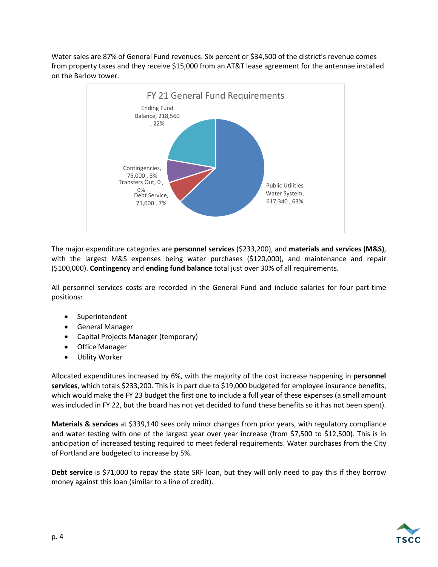Water sales are 87% of General Fund revenues. Six percent or \$34,500 of the district's revenue comes from property taxes and they receive \$15,000 from an AT&T lease agreement for the antennae installed on the Barlow tower.



The major expenditure categories are **personnel services** (\$233,200), and **materials and services (M&S)**, with the largest M&S expenses being water purchases (\$120,000), and maintenance and repair (\$100,000). **Contingency** and **ending fund balance** total just over 30% of all requirements.

All personnel services costs are recorded in the General Fund and include salaries for four part-time positions:

- Superintendent
- General Manager
- Capital Projects Manager (temporary)
- Office Manager
- Utility Worker

Allocated expenditures increased by 6%, with the majority of the cost increase happening in **personnel services**, which totals \$233,200. This is in part due to \$19,000 budgeted for employee insurance benefits, which would make the FY 23 budget the first one to include a full year of these expenses (a small amount was included in FY 22, but the board has not yet decided to fund these benefits so it has not been spent).

**Materials & services** at \$339,140 sees only minor changes from prior years, with regulatory compliance and water testing with one of the largest year over year increase (from \$7,500 to \$12,500). This is in anticipation of increased testing required to meet federal requirements. Water purchases from the City of Portland are budgeted to increase by 5%.

**Debt service** is \$71,000 to repay the state SRF loan, but they will only need to pay this if they borrow money against this loan (similar to a line of credit).

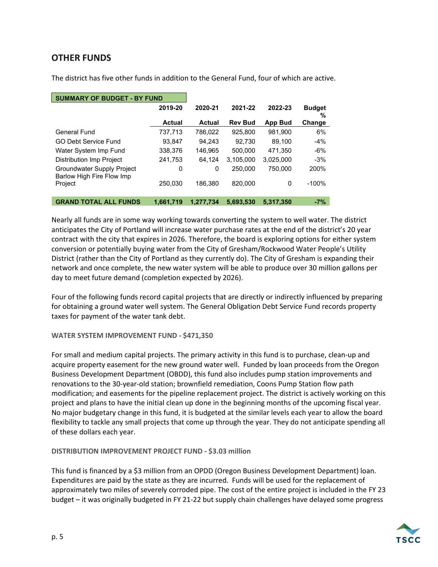## **OTHER FUNDS**

The district has five other funds in addition to the General Fund, four of which are active.

| <b>SUMMARY OF BUDGET - BY FUND</b>                      |           |           |                |                |                    |
|---------------------------------------------------------|-----------|-----------|----------------|----------------|--------------------|
|                                                         | 2019-20   | 2020-21   | 2021-22        | 2022-23        | <b>Budget</b><br>% |
|                                                         | Actual    | Actual    | <b>Rev Bud</b> | <b>App Bud</b> | Change             |
| General Fund                                            | 737,713   | 786,022   | 925.800        | 981.900        | 6%                 |
| <b>GO Debt Service Fund</b>                             | 93.847    | 94.243    | 92.730         | 89.100         | $-4%$              |
| Water System Imp Fund                                   | 338,376   | 146.965   | 500.000        | 471.350        | $-6%$              |
| <b>Distribution Imp Project</b>                         | 241,753   | 64.124    | 3.105.000      | 3.025.000      | $-3%$              |
| Groundwater Supply Project<br>Barlow High Fire Flow Imp | 0         | 0         | 250,000        | 750.000        | 200%               |
| Project                                                 | 250.030   | 186.380   | 820,000        | 0              | $-100%$            |
| <b>GRAND TOTAL ALL FUNDS</b>                            | 1.661.719 | 1.277.734 | 5.693.530      | 5.317.350      | $-7%$              |

Nearly all funds are in some way working towards converting the system to well water. The district anticipates the City of Portland will increase water purchase rates at the end of the district's 20 year contract with the city that expires in 2026. Therefore, the board is exploring options for either system conversion or potentially buying water from the City of Gresham/Rockwood Water People's Utility District (rather than the City of Portland as they currently do). The City of Gresham is expanding their network and once complete, the new water system will be able to produce over 30 million gallons per day to meet future demand (completion expected by 2026).

Four of the following funds record capital projects that are directly or indirectly influenced by preparing for obtaining a ground water well system. The General Obligation Debt Service Fund records property taxes for payment of the water tank debt.

#### **WATER SYSTEM IMPROVEMENT FUND - \$471,350**

For small and medium capital projects. The primary activity in this fund is to purchase, clean-up and acquire property easement for the new ground water well. Funded by loan proceeds from the Oregon Business Development Department (OBDD), this fund also includes pump station improvements and renovations to the 30-year-old station; brownfield remediation, Coons Pump Station flow path modification; and easements for the pipeline replacement project. The district is actively working on this project and plans to have the initial clean up done in the beginning months of the upcoming fiscal year. No major budgetary change in this fund, it is budgeted at the similar levels each year to allow the board flexibility to tackle any small projects that come up through the year. They do not anticipate spending all of these dollars each year.

#### **DISTRIBUTION IMPROVEMENT PROJECT FUND - \$3.03 million**

This fund is financed by a \$3 million from an OPDD (Oregon Business Development Department) loan. Expenditures are paid by the state as they are incurred. Funds will be used for the replacement of approximately two miles of severely corroded pipe. The cost of the entire project is included in the FY 23 budget – it was originally budgeted in FY 21-22 but supply chain challenges have delayed some progress

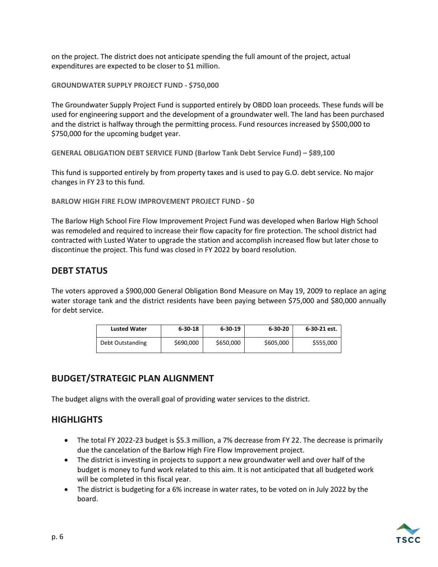on the project. The district does not anticipate spending the full amount of the project, actual expenditures are expected to be closer to \$1 million.

**GROUNDWATER SUPPLY PROJECT FUND - \$750,000**

The Groundwater Supply Project Fund is supported entirely by OBDD loan proceeds. These funds will be used for engineering support and the development of a groundwater well. The land has been purchased and the district is halfway through the permitting process. Fund resources increased by \$500,000 to \$750,000 for the upcoming budget year.

**GENERAL OBLIGATION DEBT SERVICE FUND (Barlow Tank Debt Service Fund) – \$89,100**

This fund is supported entirely by from property taxes and is used to pay G.O. debt service. No major changes in FY 23 to this fund.

**BARLOW HIGH FIRE FLOW IMPROVEMENT PROJECT FUND - \$0**

The Barlow High School Fire Flow Improvement Project Fund was developed when Barlow High School was remodeled and required to increase their flow capacity for fire protection. The school district had contracted with Lusted Water to upgrade the station and accomplish increased flow but later chose to discontinue the project. This fund was closed in FY 2022 by board resolution.

## **DEBT STATUS**

The voters approved a \$900,000 General Obligation Bond Measure on May 19, 2009 to replace an aging water storage tank and the district residents have been paying between \$75,000 and \$80,000 annually for debt service.

| <b>Lusted Water</b> | $6 - 30 - 18$ | $6 - 30 - 19$ | $6 - 30 - 20$ | 6-30-21 est. |
|---------------------|---------------|---------------|---------------|--------------|
| Debt Outstanding    | \$690,000     | \$650,000     | \$605,000     | \$555,000    |

## **BUDGET/STRATEGIC PLAN ALIGNMENT**

The budget aligns with the overall goal of providing water services to the district.

## **HIGHLIGHTS**

- The total FY 2022-23 budget is \$5.3 million, a 7% decrease from FY 22. The decrease is primarily due the cancelation of the Barlow High Fire Flow Improvement project.
- The district is investing in projects to support a new groundwater well and over half of the budget is money to fund work related to this aim. It is not anticipated that all budgeted work will be completed in this fiscal year.
- The district is budgeting for a 6% increase in water rates, to be voted on in July 2022 by the board.

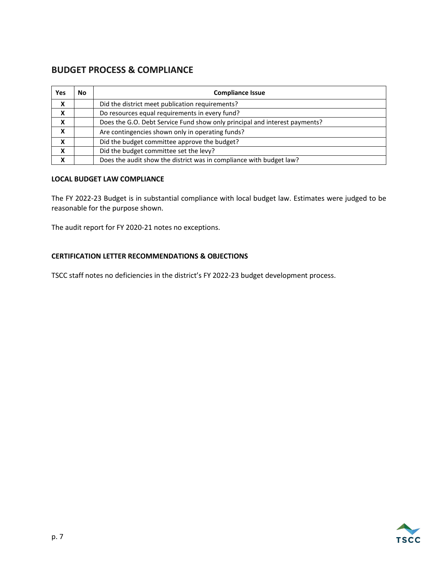## **BUDGET PROCESS & COMPLIANCE**

| <b>Yes</b> | No | <b>Compliance Issue</b>                                                    |
|------------|----|----------------------------------------------------------------------------|
| X          |    | Did the district meet publication requirements?                            |
| X          |    | Do resources equal requirements in every fund?                             |
| X          |    | Does the G.O. Debt Service Fund show only principal and interest payments? |
| X          |    | Are contingencies shown only in operating funds?                           |
| X          |    | Did the budget committee approve the budget?                               |
| X          |    | Did the budget committee set the levy?                                     |
| X          |    | Does the audit show the district was in compliance with budget law?        |

#### **LOCAL BUDGET LAW COMPLIANCE**

The FY 2022-23 Budget is in substantial compliance with local budget law. Estimates were judged to be reasonable for the purpose shown.

The audit report for FY 2020-21 notes no exceptions.

#### **CERTIFICATION LETTER RECOMMENDATIONS & OBJECTIONS**

TSCC staff notes no deficiencies in the district's FY 2022-23 budget development process.

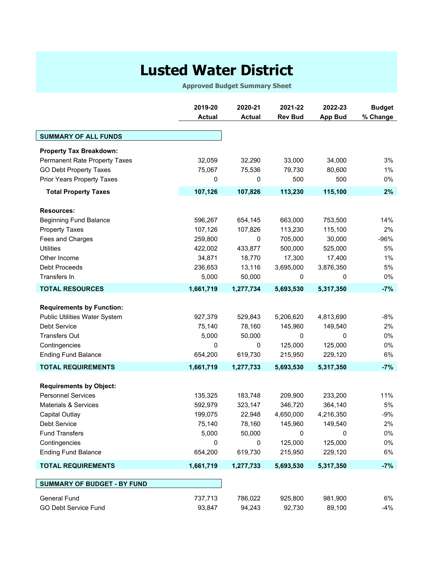# **Lusted Water District**

**Approved Budget Summary Sheet**

|                                    | 2019-20<br><b>Actual</b> | 2020-21<br><b>Actual</b> | 2021-22<br><b>Rev Bud</b> | 2022-23<br><b>App Bud</b> | <b>Budget</b><br>% Change |
|------------------------------------|--------------------------|--------------------------|---------------------------|---------------------------|---------------------------|
|                                    |                          |                          |                           |                           |                           |
| <b>SUMMARY OF ALL FUNDS</b>        |                          |                          |                           |                           |                           |
| <b>Property Tax Breakdown:</b>     |                          |                          |                           |                           |                           |
| Permanent Rate Property Taxes      | 32,059                   | 32,290                   | 33,000                    | 34,000                    | 3%                        |
| <b>GO Debt Property Taxes</b>      | 75,067                   | 75,536                   | 79,730                    | 80,600                    | $1\%$                     |
| Prior Years Property Taxes         | 0                        | 0                        | 500                       | 500                       | 0%                        |
| <b>Total Property Taxes</b>        | 107,126                  | 107,826                  | 113,230                   | 115,100                   | 2%                        |
| <b>Resources:</b>                  |                          |                          |                           |                           |                           |
| <b>Beginning Fund Balance</b>      | 596,267                  | 654,145                  | 663,000                   | 753,500                   | 14%                       |
| <b>Property Taxes</b>              | 107,126                  | 107,826                  | 113,230                   | 115,100                   | 2%                        |
| Fees and Charges                   | 259,800                  | 0                        | 705,000                   | 30,000                    | $-96%$                    |
| <b>Utilities</b>                   | 422,002                  | 433,877                  | 500,000                   | 525,000                   | 5%                        |
| Other Income                       | 34,871                   | 18,770                   | 17,300                    | 17,400                    | 1%                        |
| Debt Proceeds                      | 236,653                  | 13,116                   | 3,695,000                 | 3,876,350                 | 5%                        |
| Transfers In                       | 5,000                    | 50,000                   | 0                         | 0                         | 0%                        |
| <b>TOTAL RESOURCES</b>             | 1,661,719                | 1,277,734                | 5,693,530                 | 5,317,350                 | $-7%$                     |
|                                    |                          |                          |                           |                           |                           |
| <b>Requirements by Function:</b>   |                          |                          |                           |                           |                           |
| Public Utilities Water System      | 927,379                  | 529,843                  | 5,206,620                 | 4,813,690                 | $-8%$                     |
| Debt Service                       | 75,140                   | 78,160                   | 145,960                   | 149,540                   | 2%                        |
| <b>Transfers Out</b>               | 5,000                    | 50,000                   | $\mathbf 0$               | 0                         | $0\%$                     |
| Contingencies                      | 0                        | $\mathbf 0$              | 125,000                   | 125,000                   | 0%                        |
| <b>Ending Fund Balance</b>         | 654,200                  | 619,730                  | 215,950                   | 229,120                   | 6%                        |
| <b>TOTAL REQUIREMENTS</b>          | 1,661,719                | 1,277,733                | 5,693,530                 | 5,317,350                 | $-7%$                     |
| <b>Requirements by Object:</b>     |                          |                          |                           |                           |                           |
| <b>Personnel Services</b>          | 135,325                  | 183,748                  | 209,900                   | 233,200                   | 11%                       |
| <b>Materials &amp; Services</b>    | 592,979                  | 323,147                  | 346,720                   | 364,140                   | 5%                        |
| <b>Capital Outlay</b>              | 199,075                  | 22,948                   | 4,650,000                 | 4,216,350                 | $-9%$                     |
| Debt Service                       | 75,140                   | 78,160                   | 145,960                   | 149,540                   | 2%                        |
| <b>Fund Transfers</b>              | 5,000                    | 50,000                   | 0                         | 0                         | $0\%$                     |
| Contingencies                      | 0                        | 0                        | 125,000                   | 125,000                   | $0\%$                     |
| <b>Ending Fund Balance</b>         | 654,200                  | 619,730                  | 215,950                   | 229,120                   | 6%                        |
| <b>TOTAL REQUIREMENTS</b>          | 1,661,719                | 1,277,733                | 5,693,530                 | 5,317,350                 | $-7%$                     |
|                                    |                          |                          |                           |                           |                           |
| <b>SUMMARY OF BUDGET - BY FUND</b> |                          |                          |                           |                           |                           |
| General Fund                       | 737,713                  | 786,022                  | 925,800                   | 981,900                   | 6%                        |
| GO Debt Service Fund               | 93,847                   | 94,243                   | 92,730                    | 89,100                    | $-4%$                     |